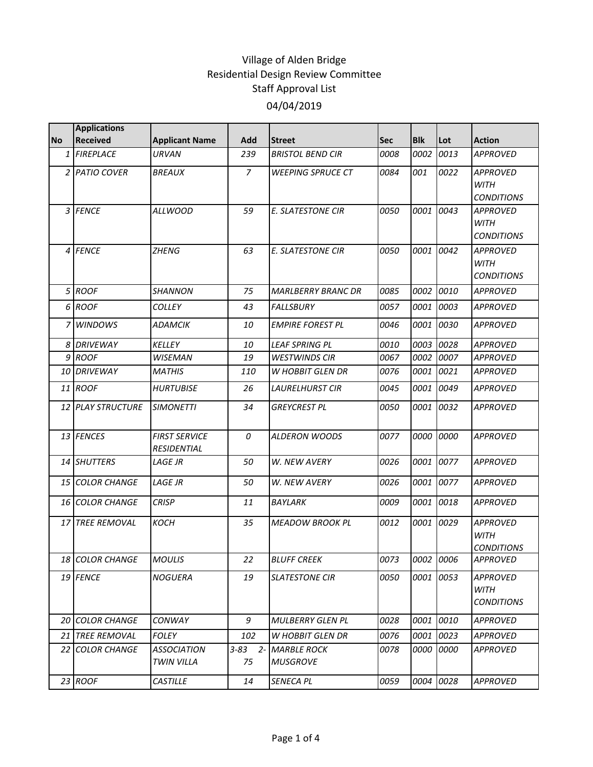|           | <b>Applications</b>    |                                            |                |                                        |            |            |           |                                                     |
|-----------|------------------------|--------------------------------------------|----------------|----------------------------------------|------------|------------|-----------|-----------------------------------------------------|
| <b>No</b> | <b>Received</b>        | <b>Applicant Name</b>                      | Add            | <b>Street</b>                          | <b>Sec</b> | <b>Blk</b> | Lot       | <b>Action</b>                                       |
| 1         | <b>FIREPLACE</b>       | URVAN                                      | 239            | <b>BRISTOL BEND CIR</b>                | 0008       | 0002       | 0013      | <b>APPROVED</b>                                     |
|           | 2 PATIO COVER          | <b>BREAUX</b>                              | $\overline{7}$ | <b>WEEPING SPRUCE CT</b>               | 0084       | 001        | 0022      | <b>APPROVED</b><br><b>WITH</b><br><b>CONDITIONS</b> |
|           | 3 FENCE                | <b>ALLWOOD</b>                             | 59             | E. SLATESTONE CIR                      | 0050       | 0001       | 0043      | <b>APPROVED</b><br><b>WITH</b><br><b>CONDITIONS</b> |
|           | 4 FENCE                | <b>ZHENG</b>                               | 63             | <b>E. SLATESTONE CIR</b>               | 0050       | 0001       | 0042      | <b>APPROVED</b><br><b>WITH</b><br><b>CONDITIONS</b> |
|           | 5 ROOF                 | <b>SHANNON</b>                             | 75             | <b>MARLBERRY BRANC DR</b>              | 0085       | 0002       | 0010      | <b>APPROVED</b>                                     |
|           | 6 ROOF                 | <b>COLLEY</b>                              | 43             | <b>FALLSBURY</b>                       | 0057       | 0001       | 0003      | <b>APPROVED</b>                                     |
|           | 7 WINDOWS              | ADAMCIK                                    | 10             | <b>EMPIRE FOREST PL</b>                | 0046       | 0001       | 0030      | <b>APPROVED</b>                                     |
| 8         | <b>DRIVEWAY</b>        | KELLEY                                     | 10             | <b>LEAF SPRING PL</b>                  | 0010       | 0003       | 0028      | <b>APPROVED</b>                                     |
|           | 9 ROOF                 | <b>WISEMAN</b>                             | 19             | <b>WESTWINDS CIR</b>                   | 0067       | 0002       | 0007      | <b>APPROVED</b>                                     |
|           | 10 DRIVEWAY            | <b>MATHIS</b>                              | 110            | <b>W HOBBIT GLEN DR</b>                | 0076       | 0001       | 0021      | <b>APPROVED</b>                                     |
|           | 11 ROOF                | <b>HURTUBISE</b>                           | 26             | <b>LAURELHURST CIR</b>                 | 0045       | 0001       | 0049      | <b>APPROVED</b>                                     |
|           | 12 PLAY STRUCTURE      | <b>SIMONETTI</b>                           | 34             | <b>GREYCREST PL</b>                    | 0050       | 0001       | 0032      | <b>APPROVED</b>                                     |
|           | 13 FENCES              | <b>FIRST SERVICE</b><br><b>RESIDENTIAL</b> | 0              | <b>ALDERON WOODS</b>                   | 0077       | 0000       | 0000      | <b>APPROVED</b>                                     |
|           | 14 SHUTTERS            | LAGE JR                                    | 50             | W. NEW AVERY                           | 0026       | 0001       | 0077      | <b>APPROVED</b>                                     |
|           | 15 COLOR CHANGE        | <b>LAGE JR</b>                             | 50             | W. NEW AVERY                           | 0026       | 0001       | 0077      | <b>APPROVED</b>                                     |
|           | <b>16 COLOR CHANGE</b> | <b>CRISP</b>                               | 11             | BAYLARK                                | 0009       | 0001       | 0018      | <b>APPROVED</b>                                     |
|           | 17 TREE REMOVAL        | КОСН                                       | 35             | <b>MEADOW BROOK PL</b>                 | 0012       |            | 0001 0029 | <b>APPROVED</b><br><b>WITH</b><br><b>CONDITIONS</b> |
|           | 18 COLOR CHANGE        | <b>MOULIS</b>                              | 22             | <b>BLUFF CREEK</b>                     | 0073       |            | 0002 0006 | <b>APPROVED</b>                                     |
|           | 19 FENCE               | <b>NOGUERA</b>                             | 19             | <b>SLATESTONE CIR</b>                  | 0050       |            | 0001 0053 | <b>APPROVED</b><br><b>WITH</b><br><b>CONDITIONS</b> |
|           | 20 COLOR CHANGE        | <b>CONWAY</b>                              | 9              | <b>MULBERRY GLEN PL</b>                | 0028       | 0001       | 0010      | APPROVED                                            |
|           | 21 TREE REMOVAL        | <b>FOLEY</b>                               | 102            | W HOBBIT GLEN DR                       | 0076       | 0001       | 0023      | <b>APPROVED</b>                                     |
|           | <b>22 COLOR CHANGE</b> | <b>ASSOCIATION</b><br>TWIN VILLA           | 75             | 3-83 2- MARBLE ROCK<br><b>MUSGROVE</b> | 0078       |            | 0000 0000 | <b>APPROVED</b>                                     |
|           | 23 ROOF                | <b>CASTILLE</b>                            | 14             | SENECA PL                              | 0059       |            | 0004 0028 | <b>APPROVED</b>                                     |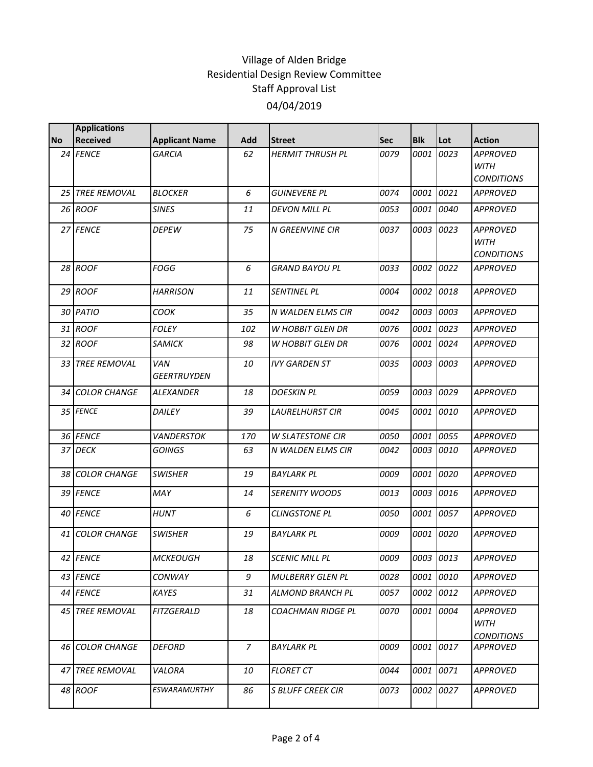|           | <b>Applications</b> |                           |                |                          |            |            |           |                                                     |
|-----------|---------------------|---------------------------|----------------|--------------------------|------------|------------|-----------|-----------------------------------------------------|
| <b>No</b> | Received            | <b>Applicant Name</b>     | Add            | <b>Street</b>            | <b>Sec</b> | <b>Blk</b> | Lot       | <b>Action</b>                                       |
|           | 24 FENCE            | <b>GARCIA</b>             | 62             | <b>HERMIT THRUSH PL</b>  | 0079       | 0001       | 0023      | <b>APPROVED</b><br><b>WITH</b><br><b>CONDITIONS</b> |
|           | 25 TREE REMOVAL     | <b>BLOCKER</b>            | 6              | <b>GUINEVERE PL</b>      | 0074       | 0001       | 0021      | <b>APPROVED</b>                                     |
|           | 26 ROOF             | <b>SINES</b>              | 11             | <b>DEVON MILL PL</b>     | 0053       | 0001       | 0040      | <b>APPROVED</b>                                     |
|           | 27 FENCE            | <b>DEPEW</b>              | 75             | <b>N GREENVINE CIR</b>   | 0037       | 0003       | 0023      | <b>APPROVED</b><br><b>WITH</b><br><b>CONDITIONS</b> |
|           | 28 ROOF             | <b>FOGG</b>               | 6              | <b>GRAND BAYOU PL</b>    | 0033       | 0002       | 0022      | <b>APPROVED</b>                                     |
|           | 29 ROOF             | <b>HARRISON</b>           | 11             | SENTINEL PL              | 0004       | 0002       | 0018      | <b>APPROVED</b>                                     |
|           | 30 PATIO            | СООК                      | 35             | N WALDEN ELMS CIR        | 0042       | 0003       | 0003      | <b>APPROVED</b>                                     |
|           | 31 ROOF             | <b>FOLEY</b>              | 102            | W HOBBIT GLEN DR         | 0076       | 0001       | 0023      | <b>APPROVED</b>                                     |
|           | 32 ROOF             | <b>SAMICK</b>             | 98             | <b>W HOBBIT GLEN DR</b>  | 0076       | 0001       | 0024      | <b>APPROVED</b>                                     |
|           | 33 TREE REMOVAL     | VAN<br><b>GEERTRUYDEN</b> | 10             | <b>IVY GARDEN ST</b>     | 0035       | 0003       | 0003      | <b>APPROVED</b>                                     |
|           | 34 COLOR CHANGE     | <b>ALEXANDER</b>          | 18             | <b>DOESKIN PL</b>        | 0059       | 0003       | 0029      | <b>APPROVED</b>                                     |
|           | 35 FENCE            | DAILEY                    | 39             | <b>LAURELHURST CIR</b>   | 0045       | 0001       | 0010      | <b>APPROVED</b>                                     |
|           | 36 FENCE            | <b>VANDERSTOK</b>         | 170            | <b>W SLATESTONE CIR</b>  | 0050       | 0001       | 0055      | <b>APPROVED</b>                                     |
|           | 37 DECK             | <b>GOINGS</b>             | 63             | N WALDEN ELMS CIR        | 0042       | 0003       | 0010      | <b>APPROVED</b>                                     |
|           | 38 COLOR CHANGE     | <b>SWISHER</b>            | 19             | <b>BAYLARK PL</b>        | 0009       | 0001       | 0020      | <b>APPROVED</b>                                     |
|           | 39 FENCE            | MAY                       | 14             | <b>SERENITY WOODS</b>    | 0013       | 0003       | 0016      | <b>APPROVED</b>                                     |
|           | 40 FENCE            | <b>HUNT</b>               | 6              | <b>CLINGSTONE PL</b>     | 0050       | 0001       | 0057      | <b>APPROVED</b>                                     |
|           | 41 COLOR CHANGE     | <b>SWISHER</b>            | 19             | <b>BAYLARK PL</b>        | 0009       | 0001       | 0020      | <b>APPROVED</b>                                     |
|           | 42 FENCE            | <b>MCKEOUGH</b>           | 18             | <b>SCENIC MILL PL</b>    | 0009       |            | 0003 0013 | APPROVED                                            |
|           | 43 FENCE            | CONWAY                    | 9              | <b>MULBERRY GLEN PL</b>  | 0028       | 0001       | 0010      | <b>APPROVED</b>                                     |
|           | 44 FENCE            | KAYES                     | 31             | ALMOND BRANCH PL         | 0057       | 0002       | 0012      | <b>APPROVED</b>                                     |
|           | 45 TREE REMOVAL     | <b>FITZGERALD</b>         | 18             | <b>COACHMAN RIDGE PL</b> | 0070       |            | 0001 0004 | <b>APPROVED</b><br>WITH<br><b>CONDITIONS</b>        |
|           | 46 COLOR CHANGE     | <b>DEFORD</b>             | $\overline{7}$ | <b>BAYLARK PL</b>        | 0009       |            | 0001 0017 | <b>APPROVED</b>                                     |
|           | 47 TREE REMOVAL     | VALORA                    | 10             | <b>FLORET CT</b>         | 0044       |            | 0001 0071 | <b>APPROVED</b>                                     |
|           | 48 ROOF             | <b>ESWARAMURTHY</b>       | 86             | <b>S BLUFF CREEK CIR</b> | 0073       | 0002       | 0027      | <b>APPROVED</b>                                     |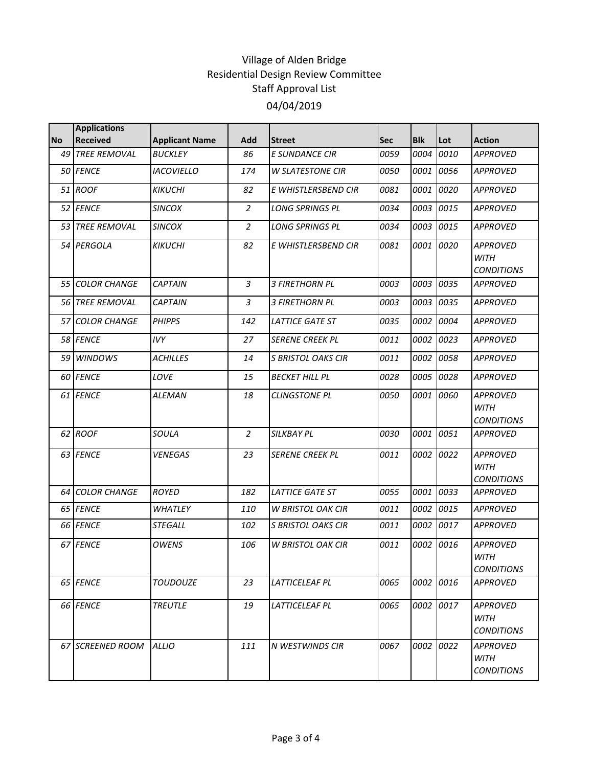|           | <b>Applications</b>    |                       |                |                           |      |            |           |                                                     |
|-----------|------------------------|-----------------------|----------------|---------------------------|------|------------|-----------|-----------------------------------------------------|
| <b>No</b> | <b>Received</b>        | <b>Applicant Name</b> | Add            | <b>Street</b>             | Sec  | <b>Blk</b> | Lot       | <b>Action</b>                                       |
| 49        | <b>TREE REMOVAL</b>    | <b>BUCKLEY</b>        | 86             | E SUNDANCE CIR            | 0059 | 0004       | 0010      | <b>APPROVED</b>                                     |
|           | 50 FENCE               | <b>IACOVIELLO</b>     | 174            | <b>W SLATESTONE CIR</b>   | 0050 | 0001       | 0056      | <b>APPROVED</b>                                     |
|           | 51 ROOF                | <b>KIKUCHI</b>        | 82             | E WHISTLERSBEND CIR       | 0081 | 0001       | 0020      | <b>APPROVED</b>                                     |
|           | 52 FENCE               | <b>SINCOX</b>         | $\overline{2}$ | <b>LONG SPRINGS PL</b>    | 0034 | 0003       | 0015      | <b>APPROVED</b>                                     |
|           | 53 TREE REMOVAL        | <b>SINCOX</b>         | $\overline{2}$ | <b>LONG SPRINGS PL</b>    | 0034 | 0003       | 0015      | <b>APPROVED</b>                                     |
|           | 54 PERGOLA             | <b>KIKUCHI</b>        | 82             | E WHISTLERSBEND CIR       | 0081 | 0001       | 0020      | <b>APPROVED</b><br><b>WITH</b><br><b>CONDITIONS</b> |
|           | <b>55 COLOR CHANGE</b> | <b>CAPTAIN</b>        | 3              | <b>3 FIRETHORN PL</b>     | 0003 | 0003       | 0035      | <b>APPROVED</b>                                     |
|           | 56 TREE REMOVAL        | <b>CAPTAIN</b>        | 3              | 3 FIRETHORN PL            | 0003 | 0003       | 0035      | <b>APPROVED</b>                                     |
|           | 57 COLOR CHANGE        | <b>PHIPPS</b>         | 142            | <b>LATTICE GATE ST</b>    | 0035 | 0002       | 0004      | <b>APPROVED</b>                                     |
|           | 58 FENCE               | <b>IVY</b>            | 27             | <b>SERENE CREEK PL</b>    | 0011 | 0002       | 0023      | <b>APPROVED</b>                                     |
|           | 59 WINDOWS             | <b>ACHILLES</b>       | 14             | <b>S BRISTOL OAKS CIR</b> | 0011 | 0002       | 0058      | <b>APPROVED</b>                                     |
|           | 60 FENCE               | LOVE                  | 15             | <b>BECKET HILL PL</b>     | 0028 | 0005       | 0028      | <b>APPROVED</b>                                     |
|           | 61 FENCE               | <b>ALEMAN</b>         | 18             | <b>CLINGSTONE PL</b>      | 0050 | 0001       | 0060      | <b>APPROVED</b><br><b>WITH</b><br><b>CONDITIONS</b> |
|           | 62 ROOF                | SOULA                 | $\overline{2}$ | SILKBAY PL                | 0030 | 0001       | 0051      | <b>APPROVED</b>                                     |
|           | 63 FENCE               | <b>VENEGAS</b>        | 23             | <b>SERENE CREEK PL</b>    | 0011 | 0002       | 0022      | <b>APPROVED</b><br><b>WITH</b><br><b>CONDITIONS</b> |
|           | 64 COLOR CHANGE        | <b>ROYED</b>          | 182            | <b>LATTICE GATE ST</b>    | 0055 | 0001       | 0033      | <b>APPROVED</b>                                     |
|           | 65 FENCE               | WHATLEY               | <i>110</i>     | <b>W BRISTOL OAK CIR</b>  | 0011 | 0002       | 0015      | <b>APPROVED</b>                                     |
|           | 66 FENCE               | <b>STEGALL</b>        | 102            | <b>S BRISTOL OAKS CIR</b> | 0011 | 0002       | 0017      | <b>APPROVED</b>                                     |
|           | 67 FENCE               | <b>OWENS</b>          | 106            | <b>W BRISTOL OAK CIR</b>  | 0011 | 0002       | 0016      | <b>APPROVED</b><br><b>WITH</b><br><b>CONDITIONS</b> |
|           | 65 FENCE               | <b>TOUDOUZE</b>       | 23             | LATTICELEAF PL            | 0065 |            | 0002 0016 | <b>APPROVED</b>                                     |
|           | 66 FENCE               | <b>TREUTLE</b>        | 19             | LATTICELEAF PL            | 0065 |            | 0002 0017 | <b>APPROVED</b><br>WITH<br><b>CONDITIONS</b>        |
|           | 67 SCREENED ROOM       | <b>ALLIO</b>          | 111            | N WESTWINDS CIR           | 0067 |            | 0002 0022 | <b>APPROVED</b><br>WITH<br><b>CONDITIONS</b>        |